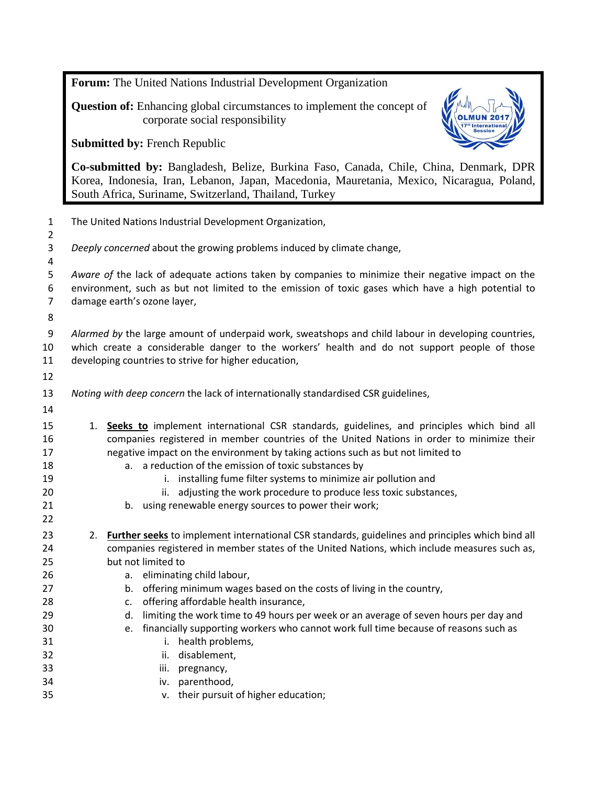**Forum:** The United Nations Industrial Development Organization

**Question of:** Enhancing global circumstances to implement the concept of corporate social responsibility

**Submitted by:** French Republic



**Co-submitted by:** Bangladesh, Belize, Burkina Faso, Canada, Chile, China, Denmark, DPR Korea, Indonesia, Iran, Lebanon, Japan, Macedonia, Mauretania, Mexico, Nicaragua, Poland, South Africa, Suriname, Switzerland, Thailand, Turkey

| $\mathbf{1}$<br>$\overline{2}$                                       | The United Nations Industrial Development Organization,                                                                                                                                                                                                                                                                                                                                                                                                                                                                                                                                                                                                     |
|----------------------------------------------------------------------|-------------------------------------------------------------------------------------------------------------------------------------------------------------------------------------------------------------------------------------------------------------------------------------------------------------------------------------------------------------------------------------------------------------------------------------------------------------------------------------------------------------------------------------------------------------------------------------------------------------------------------------------------------------|
| 3<br>4                                                               | Deeply concerned about the growing problems induced by climate change,                                                                                                                                                                                                                                                                                                                                                                                                                                                                                                                                                                                      |
| 5<br>6<br>$\overline{7}$<br>8                                        | Aware of the lack of adequate actions taken by companies to minimize their negative impact on the<br>environment, such as but not limited to the emission of toxic gases which have a high potential to<br>damage earth's ozone layer,                                                                                                                                                                                                                                                                                                                                                                                                                      |
| 9<br>10<br>11<br>12                                                  | Alarmed by the large amount of underpaid work, sweatshops and child labour in developing countries,<br>which create a considerable danger to the workers' health and do not support people of those<br>developing countries to strive for higher education,                                                                                                                                                                                                                                                                                                                                                                                                 |
| 13                                                                   | Noting with deep concern the lack of internationally standardised CSR guidelines,                                                                                                                                                                                                                                                                                                                                                                                                                                                                                                                                                                           |
| 14<br>15<br>16<br>17<br>18<br>19<br>20<br>21<br>22                   | 1. Seeks to implement international CSR standards, guidelines, and principles which bind all<br>companies registered in member countries of the United Nations in order to minimize their<br>negative impact on the environment by taking actions such as but not limited to<br>a. a reduction of the emission of toxic substances by<br>i. installing fume filter systems to minimize air pollution and<br>ii. adjusting the work procedure to produce less toxic substances,<br>b. using renewable energy sources to power their work;                                                                                                                    |
| 23<br>24<br>25<br>26<br>27<br>28<br>29<br>30<br>31<br>32<br>33<br>34 | Further seeks to implement international CSR standards, guidelines and principles which bind all<br>2.<br>companies registered in member states of the United Nations, which include measures such as,<br>but not limited to<br>a. eliminating child labour,<br>b. offering minimum wages based on the costs of living in the country,<br>offering affordable health insurance,<br>c.<br>d. limiting the work time to 49 hours per week or an average of seven hours per day and<br>e. financially supporting workers who cannot work full time because of reasons such as<br>i. health problems,<br>ii. disablement,<br>iii. pregnancy,<br>iv. parenthood, |
| 35                                                                   | v. their pursuit of higher education;                                                                                                                                                                                                                                                                                                                                                                                                                                                                                                                                                                                                                       |